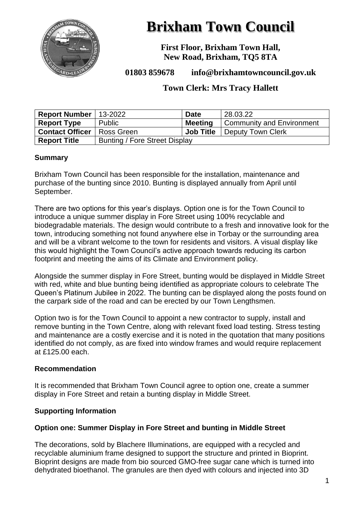

# **Brixham Town Council**

**First Floor, Brixham Town Hall, New Road, Brixham, TQ5 8TA**

**01803 859678 info@brixhamtowncouncil.gov.uk**

### **Town Clerk: Mrs Tracy Hallett**

| Report Number   $13-2022$           |                               | <b>Date</b>      | 28.03.22                               |
|-------------------------------------|-------------------------------|------------------|----------------------------------------|
| <b>Report Type</b>                  | Public                        | <b>Meeting</b>   | <sup>'</sup> Community and Environment |
| <b>Contact Officer</b>   Ross Green |                               | <b>Job Title</b> | Deputy Town Clerk                      |
| <b>Report Title</b>                 | Bunting / Fore Street Display |                  |                                        |

#### **Summary**

Brixham Town Council has been responsible for the installation, maintenance and purchase of the bunting since 2010. Bunting is displayed annually from April until September.

There are two options for this year's displays. Option one is for the Town Council to introduce a unique summer display in Fore Street using 100% recyclable and biodegradable materials. The design would contribute to a fresh and innovative look for the town, introducing something not found anywhere else in Torbay or the surrounding area and will be a vibrant welcome to the town for residents and visitors. A visual display like this would highlight the Town Council's active approach towards reducing its carbon footprint and meeting the aims of its Climate and Environment policy.

Alongside the summer display in Fore Street, bunting would be displayed in Middle Street with red, white and blue bunting being identified as appropriate colours to celebrate The Queen's Platinum Jubilee in 2022. The bunting can be displayed along the posts found on the carpark side of the road and can be erected by our Town Lengthsmen.

Option two is for the Town Council to appoint a new contractor to supply, install and remove bunting in the Town Centre, along with relevant fixed load testing. Stress testing and maintenance are a costly exercise and it is noted in the quotation that many positions identified do not comply, as are fixed into window frames and would require replacement at £125.00 each.

#### **Recommendation**

It is recommended that Brixham Town Council agree to option one, create a summer display in Fore Street and retain a bunting display in Middle Street.

#### **Supporting Information**

#### **Option one: Summer Display in Fore Street and bunting in Middle Street**

The decorations, sold by Blachere Illuminations, are equipped with a recycled and recyclable aluminium frame designed to support the structure and printed in Bioprint. Bioprint designs are made from bio sourced GMO-free sugar cane which is turned into dehydrated bioethanol. The granules are then dyed with colours and injected into 3D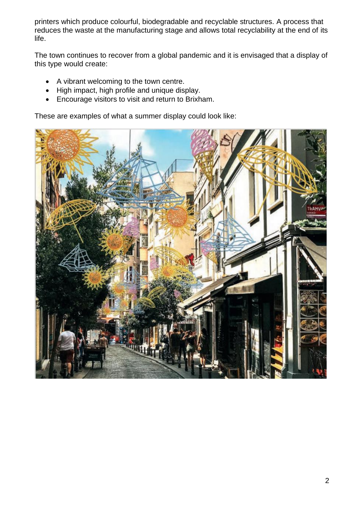printers which produce colourful, biodegradable and recyclable structures. A process that reduces the waste at the manufacturing stage and allows total recyclability at the end of its life.

The town continues to recover from a global pandemic and it is envisaged that a display of this type would create:

- A vibrant welcoming to the town centre.
- High impact, high profile and unique display.
- Encourage visitors to visit and return to Brixham.

These are examples of what a summer display could look like:

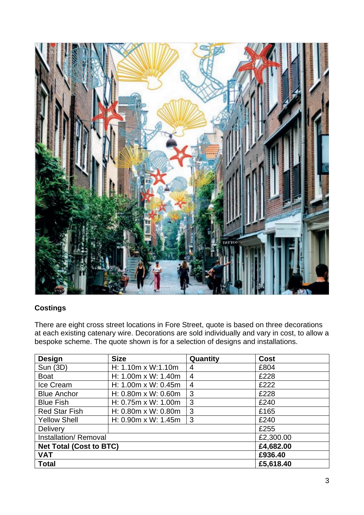

## **Costings**

There are eight cross street locations in Fore Street, quote is based on three decorations at each existing catenary wire. Decorations are sold individually and vary in cost, to allow a bespoke scheme. The quote shown is for a selection of designs and installations.

| <b>Design</b>                  | <b>Size</b>                   | Quantity       | Cost      |
|--------------------------------|-------------------------------|----------------|-----------|
| Sun (3D)                       | H: 1.10m x W:1.10m            | 4              | £804      |
| <b>Boat</b>                    | H: 1.00m x W: 1.40m           | $\overline{4}$ | £228      |
| Ice Cream                      | H: 1.00m x W: 0.45m           | $\overline{4}$ | £222      |
| <b>Blue Anchor</b>             | H: $0.80m \times W$ : $0.60m$ | 3              | £228      |
| <b>Blue Fish</b>               | H: $0.75m \times W$ : 1.00m   | 3              | £240      |
| <b>Red Star Fish</b>           | H: $0.80m \times W$ : $0.80m$ | 3              | £165      |
| <b>Yellow Shell</b>            | H: $0.90m \times W$ : 1.45m   | 3              | £240      |
| <b>Delivery</b>                |                               |                | £255      |
| Installation/Removal           |                               |                | £2,300.00 |
| <b>Net Total (Cost to BTC)</b> |                               |                | £4,682.00 |
| <b>VAT</b>                     |                               |                | £936.40   |
| <b>Total</b>                   |                               |                | £5,618.40 |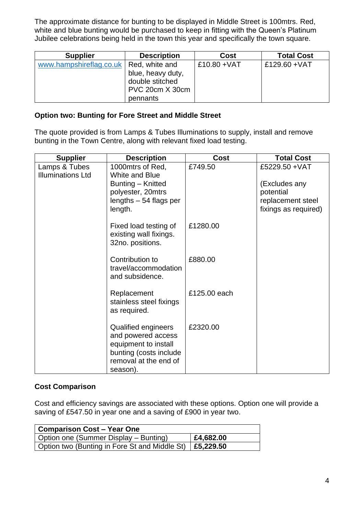The approximate distance for bunting to be displayed in Middle Street is 100mtrs. Red, white and blue bunting would be purchased to keep in fitting with the Queen's Platinum Jubilee celebrations being held in the town this year and specifically the town square.

| <b>Supplier</b>         | <b>Description</b> | <b>Cost</b>    | <b>Total Cost</b> |
|-------------------------|--------------------|----------------|-------------------|
| www.hampshireflag.co.uk | Red, white and     | $£10.80 + VAT$ | £129.60 + VAT     |
|                         | blue, heavy duty,  |                |                   |
|                         | double stitched    |                |                   |
|                         | PVC 20cm X 30cm    |                |                   |
|                         | pennants           |                |                   |

#### **Option two: Bunting for Fore Street and Middle Street**

The quote provided is from Lamps & Tubes Illuminations to supply, install and remove bunting in the Town Centre, along with relevant fixed load testing.

| <b>Supplier</b>                           | <b>Description</b>                                                                                                               | <b>Cost</b>  | <b>Total Cost</b>                                                                         |
|-------------------------------------------|----------------------------------------------------------------------------------------------------------------------------------|--------------|-------------------------------------------------------------------------------------------|
| Lamps & Tubes<br><b>Illuminations Ltd</b> | 1000 mtrs of Red,<br>White and Blue<br>Bunting - Knitted<br>polyester, 20mtrs<br>lengths $-54$ flags per<br>length.              | £749.50      | £5229.50 + VAT<br>(Excludes any<br>potential<br>replacement steel<br>fixings as required) |
|                                           | Fixed load testing of<br>existing wall fixings.<br>32no. positions.                                                              | £1280.00     |                                                                                           |
|                                           | Contribution to<br>travel/accommodation<br>and subsidence.                                                                       | £880.00      |                                                                                           |
|                                           | Replacement<br>stainless steel fixings<br>as required.                                                                           | £125,00 each |                                                                                           |
|                                           | Qualified engineers<br>and powered access<br>equipment to install<br>bunting (costs include<br>removal at the end of<br>season). | £2320.00     |                                                                                           |

#### **Cost Comparison**

Cost and efficiency savings are associated with these options. Option one will provide a saving of £547.50 in year one and a saving of £900 in year two.

| Comparison Cost – Year One                                |           |
|-----------------------------------------------------------|-----------|
| Option one (Summer Display – Bunting)                     | £4,682.00 |
| Option two (Bunting in Fore St and Middle St)   £5,229.50 |           |